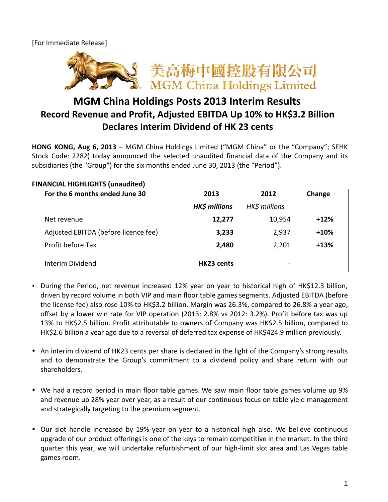[For Immediate Release]



## **MGM China Holdings Posts 2013 Interim Results Record Revenue and Profit, Adjusted EBITDA Up 10% to HK\$3.2 Billion Declares Interim Dividend of HK 23 cents**

**HONG KONG, Aug 6, 2013** – MGM China Holdings Limited ("MGM China" or the "Company"; SEHK Stock Code: 2282) today announced the selected unaudited financial data of the Company and its subsidiaries (the "Group") for the six months ended June 30, 2013 (the "Period").

| FINANCIAL HIGHLIGHTS (UITQUOILEG)    |                      |                          |        |
|--------------------------------------|----------------------|--------------------------|--------|
| For the 6 months ended June 30       | 2013                 | 2012                     | Change |
|                                      | <b>HK\$ millions</b> | HK\$ millions            |        |
| Net revenue                          | 12,277               | 10,954                   | $+12%$ |
| Adjusted EBITDA (before licence fee) | 3,233                | 2,937                    | $+10%$ |
| Profit before Tax                    | 2,480                | 2,201                    | $+13%$ |
| Interim Dividend                     | HK23 cents           | $\overline{\phantom{a}}$ |        |

## **FINANCIAL HIGHLIGHTS (unaudited)**

- During the Period, net revenue increased 12% year on year to historical high of HK\$12.3 billion, driven by record volume in both VIP and main floor table games segments. Adjusted EBITDA (before the license fee) also rose 10% to HK\$3.2 billion. Margin was 26.3%, compared to 26.8% a year ago, offset by a lower win rate for VIP operation (2013: 2.8% vs 2012: 3.2%). Profit before tax was up 13% to HK\$2.5 billion. Profit attributable to owners of Company was HK\$2.5 billion, compared to HK\$2.6 billion a year ago due to a reversal of deferred tax expense of HK\$424.9 million previously.
- An interim dividend of HK23 cents per share is declared in the light of the Company's strong results and to demonstrate the Group's commitment to a dividend policy and share return with our shareholders.
- We had a record period in main floor table games. We saw main floor table games volume up 9% and revenue up 28% year over year, as a result of our continuous focus on table yield management and strategically targeting to the premium segment.
- Our slot handle increased by 19% year on year to a historical high also. We believe continuous upgrade of our product offerings is one of the keys to remain competitive in the market. In the third quarter this year, we will undertake refurbishment of our high-limit slot area and Las Vegas table games room.